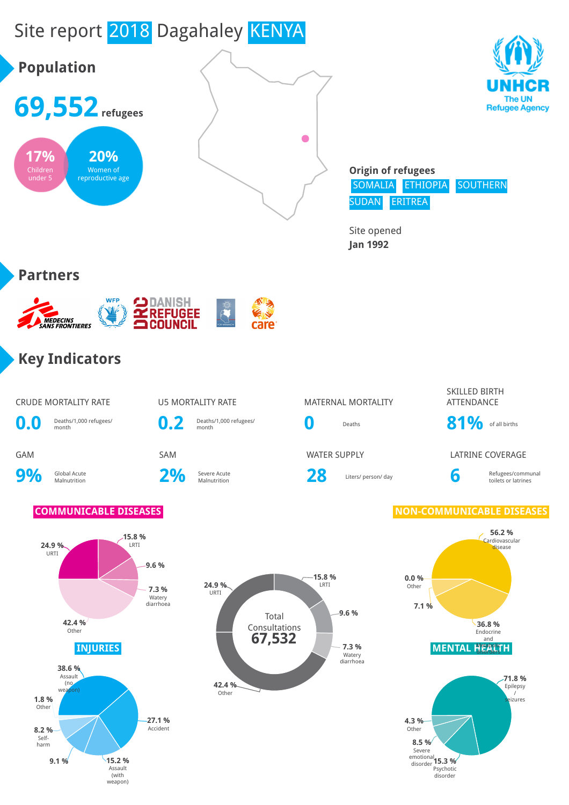

Assault (with

weapon)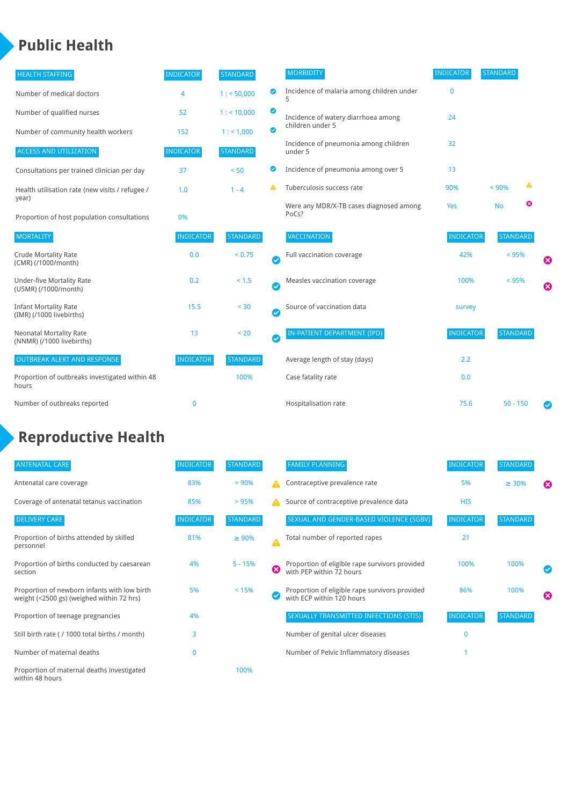### **Public Health**

| <b>HEALTH STAFFING</b>                                      | <b>INDICATOR</b> | <b>STANDARD</b> |           | <b>MORBIDITY</b>                                 | <b>INDICATOR</b> | <b>STANDARD</b> |   |                       |
|-------------------------------------------------------------|------------------|-----------------|-----------|--------------------------------------------------|------------------|-----------------|---|-----------------------|
| Number of medical doctors                                   | 4                | 1: 50,000       | ◎         | Incidence of malaria among children under        | $\mathbf 0$      |                 |   |                       |
| Number of qualified nurses                                  | 52               | 1:10,000        | ◙         | Incidence of watery diarrhoea among              | 24               |                 |   |                       |
| Number of community health workers                          | 152              | 1: 1,000        | ◙         | children under 5                                 |                  |                 |   |                       |
| <b>ACCESS AND UTILIZATION</b>                               | <b>INDICATOR</b> | <b>STANDARD</b> |           | Incidence of pneumonia among children<br>under 5 | 32               |                 |   |                       |
| Consultations per trained clinician per day                 | 37               | < 50            | ◙         | Incidence of pneumonia among over 5              | 13               |                 |   |                       |
| Health utilisation rate (new visits / refugee /             | 1.0              | $1 - 4$         |           | Tuberculosis success rate                        | 90%              | < 90%           | ▲ |                       |
| year)<br>Proportion of host population consultations        | 0%               |                 |           | Were any MDR/X-TB cases diagnosed among<br>PoCs? | Yes              | <b>No</b>       | ☺ |                       |
| <b>MORTALITY</b>                                            | <b>INDICATOR</b> | <b>STANDARD</b> |           | VACCINATION                                      | <b>INDICATOR</b> | <b>STANDARD</b> |   |                       |
| <b>Crude Mortality Rate</b><br>(CMR) (/1000/month)          | 0.0              | < 0.75          | $\bullet$ | Full vaccination coverage                        | 42%              | < 95%           |   | Ø                     |
| <b>Under-five Mortality Rate</b><br>(U5MR) (/1000/month)    | 0.2              | < 1.5           | $\bullet$ | Measles vaccination coverage                     | 100%             | < 95%           |   | $\boldsymbol{\Omega}$ |
| <b>Infant Mortality Rate</b><br>(IMR) (/1000 livebirths)    | 15.5             | < 30            | $\bullet$ | Source of vaccination data                       | survey           |                 |   |                       |
| <b>Neonatal Mortality Rate</b><br>(NNMR) (/1000 livebirths) | 13               | < 20            | $\bullet$ | <b>IN-PATIENT DEPARTMENT (IPD)</b>               | <b>INDICATOR</b> | <b>STANDARD</b> |   |                       |
| <b>OUTBREAK ALERT AND RESPONSE</b>                          | <b>INDICATOR</b> | <b>STANDARD</b> |           | Average length of stay (days)                    | 2.2              |                 |   |                       |
| Proportion of outbreaks investigated within 48<br>hours     |                  | 100%            |           | Case fatality rate                               | 0.0              |                 |   |                       |
| Number of outbreaks reported                                | $\mathbf 0$      |                 |           | Hospitalisation rate                             | 75.6             | $50 - 150$      |   |                       |

## **Reproductive Health**

| <b>ANTENATAL CARE</b>                                                                     | <b>INDICATOR</b> | <b>STANDARD</b> |   | <b>FAMILY PLANNING</b>                                                      | <b>INDICATOR</b> | <b>STANDARD</b> |                       |
|-------------------------------------------------------------------------------------------|------------------|-----------------|---|-----------------------------------------------------------------------------|------------------|-----------------|-----------------------|
| Antenatal care coverage                                                                   | 83%              | >90%            | Δ | Contraceptive prevalence rate                                               | 5%               | $\geq 30\%$     | ☎                     |
| Coverage of antenatal tetanus vaccination                                                 | 85%              | >95%            | А | Source of contraceptive prevalence data                                     | <b>HIS</b>       |                 |                       |
| <b>DELIVERY CARE</b>                                                                      | <b>INDICATOR</b> | <b>STANDARD</b> |   | SEXUAL AND GENDER-BASED VIOLENCE (SGBV)                                     | <b>INDICATOR</b> | <b>STANDARD</b> |                       |
| Proportion of births attended by skilled<br>personnel                                     | 81%              | $\geq 90\%$     |   | Total number of reported rapes                                              | 21               |                 |                       |
| Proportion of births conducted by caesarean<br>section                                    | 4%               | $5 - 15%$       | ☎ | Proportion of eligible rape survivors provided<br>with PEP within 72 hours  | 100%             | 100%            |                       |
| Proportion of newborn infants with low birth<br>weight (<2500 gs) (weighed within 72 hrs) | 5%               | < 15%           |   | Proportion of eligible rape survivors provided<br>with ECP within 120 hours | 86%              | 100%            | $\boldsymbol{\Omega}$ |
| Proportion of teenage pregnancies                                                         | 4%               |                 |   | SEXUALLY TRANSMITTED INFECTIONS (STIS)                                      | <b>INDICATOR</b> | <b>STANDARD</b> |                       |
| Still birth rate (/1000 total births / month)                                             | 3                |                 |   | Number of genital ulcer diseases                                            | $\mathbf{0}$     |                 |                       |
| Number of maternal deaths                                                                 | $\bf{0}$         |                 |   | Number of Pelvic Inflammatory diseases                                      |                  |                 |                       |
| Proportion of maternal deaths investigated<br>within 48 hours                             |                  | 100%            |   |                                                                             |                  |                 |                       |